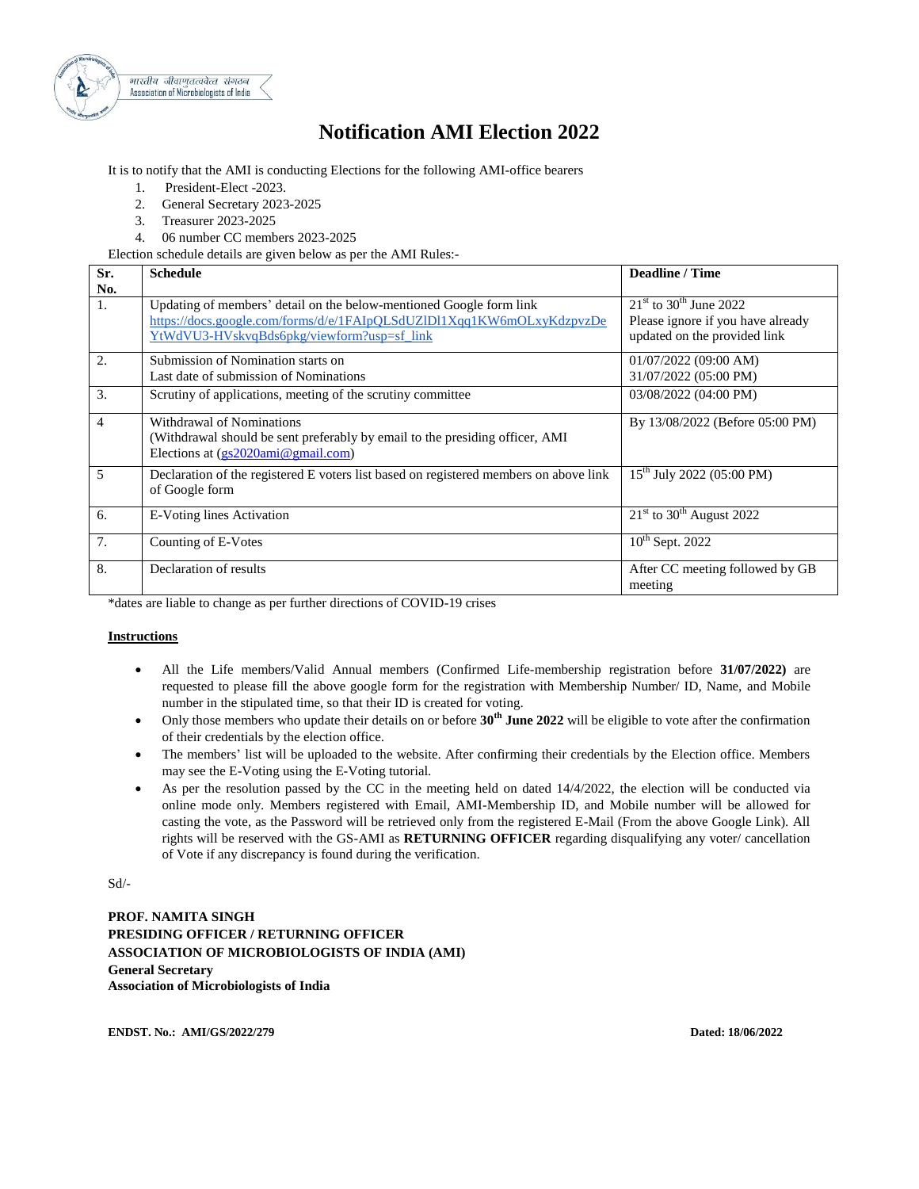

# **Notification AMI Election 2022**

It is to notify that the AMI is conducting Elections for the following AMI-office bearers

- 1. President-Elect -2023.
- 2. General Secretary 2023-2025
- 3. Treasurer 2023-2025
- 4. 06 number CC members 2023-2025

Election schedule details are given below as per the AMI Rules:-

| Sr.<br>No. | <b>Schedule</b>                                                                                                                                                                            | Deadline / Time                                                                                           |
|------------|--------------------------------------------------------------------------------------------------------------------------------------------------------------------------------------------|-----------------------------------------------------------------------------------------------------------|
| 1.         | Updating of members' detail on the below-mentioned Google form link<br>https://docs.google.com/forms/d/e/1FAIpQLSdUZlDl1Xqq1KW6mOLxyKdzpvzDe<br>YtWdVU3-HVskvqBds6pkg/viewform?usp=sf_link | $21st$ to 30 <sup>th</sup> June 2022<br>Please ignore if you have already<br>updated on the provided link |
| 2.         | Submission of Nomination starts on<br>Last date of submission of Nominations                                                                                                               | $01/07/2022$ (09:00 AM)<br>31/07/2022 (05:00 PM)                                                          |
| 3.         | Scrutiny of applications, meeting of the scrutiny committee                                                                                                                                | 03/08/2022 (04:00 PM)                                                                                     |
| 4          | Withdrawal of Nominations<br>(Withdrawal should be sent preferably by email to the presiding officer, AMI)<br>Elections at (gs2020ami@gmail.com)                                           | By 13/08/2022 (Before 05:00 PM)                                                                           |
| 5          | Declaration of the registered E voters list based on registered members on above link<br>of Google form                                                                                    | $15th$ July 2022 (05:00 PM)                                                                               |
| 6.         | E-Voting lines Activation                                                                                                                                                                  | $21st$ to 30 <sup>th</sup> August 2022                                                                    |
| 7.         | Counting of E-Votes                                                                                                                                                                        | $10th$ Sept. 2022                                                                                         |
| 8.         | Declaration of results                                                                                                                                                                     | After CC meeting followed by GB<br>meeting                                                                |

\*dates are liable to change as per further directions of COVID-19 crises

#### **Instructions**

- All the Life members/Valid Annual members (Confirmed Life-membership registration before **31/07/2022)** are requested to please fill the above google form for the registration with Membership Number/ ID, Name, and Mobile number in the stipulated time, so that their ID is created for voting.
- Only those members who update their details on or before **30th June 2022** will be eligible to vote after the confirmation of their credentials by the election office.
- The members' list will be uploaded to the website. After confirming their credentials by the Election office. Members may see the E-Voting using the E-Voting tutorial.
- As per the resolution passed by the CC in the meeting held on dated 14/4/2022, the election will be conducted via online mode only. Members registered with Email, AMI-Membership ID, and Mobile number will be allowed for casting the vote, as the Password will be retrieved only from the registered E-Mail (From the above Google Link). All rights will be reserved with the GS-AMI as **RETURNING OFFICER** regarding disqualifying any voter/ cancellation of Vote if any discrepancy is found during the verification.

Sd/-

**PROF. NAMITA SINGH PRESIDING OFFICER / RETURNING OFFICER ASSOCIATION OF MICROBIOLOGISTS OF INDIA (AMI) General Secretary Association of Microbiologists of India**

**ENDST. No.: AMI/GS/2022/279 Dated: 18/06/2022**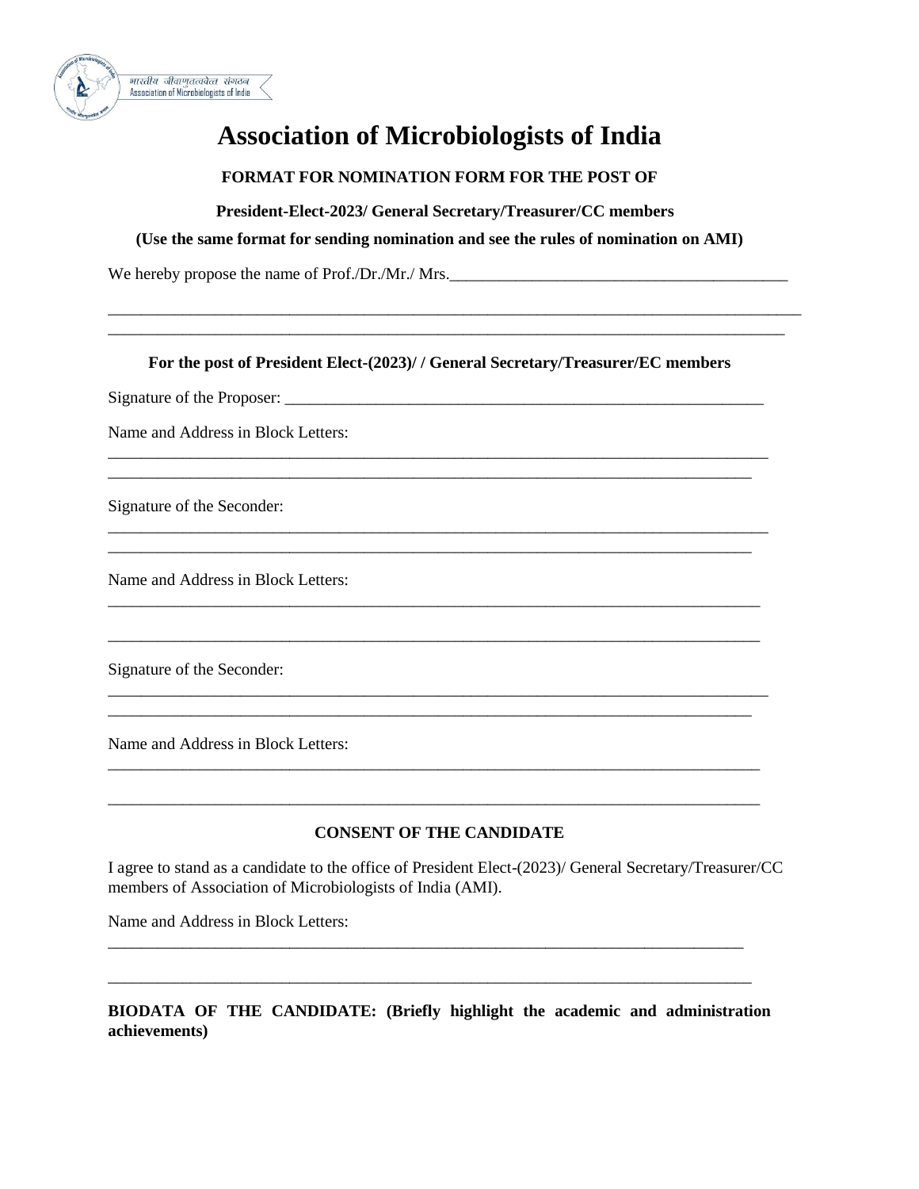

# **Association of Microbiologists of India**

# **FORMAT FOR NOMINATION FORM FOR THE POST OF**

**President-Elect-2023/ General Secretary/Treasurer/CC members** 

#### **(Use the same format for sending nomination and see the rules of nomination on AMI)**

We hereby propose the name of Prof./Dr./Mr./ Mrs.

#### **For the post of President Elect-(2023)/ / General Secretary/Treasurer/EC members**

\_\_\_\_\_\_\_\_\_\_\_\_\_\_\_\_\_\_\_\_\_\_\_\_\_\_\_\_\_\_\_\_\_\_\_\_\_\_\_\_\_\_\_\_\_\_\_\_\_\_\_\_\_\_\_\_\_\_\_\_\_\_\_\_\_\_\_\_\_\_\_\_\_\_\_\_\_\_\_\_ \_\_\_\_\_\_\_\_\_\_\_\_\_\_\_\_\_\_\_\_\_\_\_\_\_\_\_\_\_\_\_\_\_\_\_\_\_\_\_\_\_\_\_\_\_\_\_\_\_\_\_\_\_\_\_\_\_\_\_\_\_\_\_\_\_\_\_\_\_\_\_\_\_\_\_\_\_\_

\_\_\_\_\_\_\_\_\_\_\_\_\_\_\_\_\_\_\_\_\_\_\_\_\_\_\_\_\_\_\_\_\_\_\_\_\_\_\_\_\_\_\_\_\_\_\_\_\_\_\_\_\_\_\_\_\_\_\_\_\_\_\_\_\_\_\_\_\_\_\_\_\_\_\_\_\_\_\_\_ \_\_\_\_\_\_\_\_\_\_\_\_\_\_\_\_\_\_\_\_\_\_\_\_\_\_\_\_\_\_\_\_\_\_\_\_\_\_\_\_\_\_\_\_\_\_\_\_\_\_\_\_\_\_\_\_\_\_\_\_\_\_\_\_\_\_\_\_\_\_\_\_\_\_\_\_\_\_

\_\_\_\_\_\_\_\_\_\_\_\_\_\_\_\_\_\_\_\_\_\_\_\_\_\_\_\_\_\_\_\_\_\_\_\_\_\_\_\_\_\_\_\_\_\_\_\_\_\_\_\_\_\_\_\_\_\_\_\_\_\_\_\_\_\_\_\_\_\_\_\_\_\_\_\_\_\_\_

\_\_\_\_\_\_\_\_\_\_\_\_\_\_\_\_\_\_\_\_\_\_\_\_\_\_\_\_\_\_\_\_\_\_\_\_\_\_\_\_\_\_\_\_\_\_\_\_\_\_\_\_\_\_\_\_\_\_\_\_\_\_\_\_\_\_\_\_\_\_\_\_\_\_\_\_\_\_\_

\_\_\_\_\_\_\_\_\_\_\_\_\_\_\_\_\_\_\_\_\_\_\_\_\_\_\_\_\_\_\_\_\_\_\_\_\_\_\_\_\_\_\_\_\_\_\_\_\_\_\_\_\_\_\_\_\_\_\_\_\_\_\_\_\_\_\_\_\_\_\_\_\_\_\_\_\_\_\_\_ \_\_\_\_\_\_\_\_\_\_\_\_\_\_\_\_\_\_\_\_\_\_\_\_\_\_\_\_\_\_\_\_\_\_\_\_\_\_\_\_\_\_\_\_\_\_\_\_\_\_\_\_\_\_\_\_\_\_\_\_\_\_\_\_\_\_\_\_\_\_\_\_\_\_\_\_\_\_

\_\_\_\_\_\_\_\_\_\_\_\_\_\_\_\_\_\_\_\_\_\_\_\_\_\_\_\_\_\_\_\_\_\_\_\_\_\_\_\_\_\_\_\_\_\_\_\_\_\_\_\_\_\_\_\_\_\_\_\_\_\_\_\_\_\_\_\_\_\_\_\_\_\_\_\_\_\_\_

\_\_\_\_\_\_\_\_\_\_\_\_\_\_\_\_\_\_\_\_\_\_\_\_\_\_\_\_\_\_\_\_\_\_\_\_\_\_\_\_\_\_\_\_\_\_\_\_\_\_\_\_\_\_\_\_\_\_\_\_\_\_\_\_\_\_\_\_\_\_\_\_\_\_\_\_\_\_\_

\_\_\_\_\_\_\_\_\_\_\_\_\_\_\_\_\_\_\_\_\_\_\_\_\_\_\_\_\_\_\_\_\_\_\_\_\_\_\_\_\_\_\_\_\_\_\_\_\_\_\_\_\_\_\_\_\_\_\_\_\_\_\_\_\_\_\_\_\_\_\_\_\_\_\_\_\_\_\_\_\_\_\_\_ \_\_\_\_\_\_\_\_\_\_\_\_\_\_\_\_\_\_\_\_\_\_\_\_\_\_\_\_\_\_\_\_\_\_\_\_\_\_\_\_\_\_\_\_\_\_\_\_\_\_\_\_\_\_\_\_\_\_\_\_\_\_\_\_\_\_\_\_\_\_\_\_\_\_\_\_\_\_\_\_\_\_

Signature of the Proposer: \_\_\_\_\_\_\_\_\_\_\_\_\_\_\_\_\_\_\_\_\_\_\_\_\_\_\_\_\_\_\_\_\_\_\_\_\_\_\_\_\_\_\_\_\_\_\_\_\_\_\_\_\_\_\_\_\_\_

Name and Address in Block Letters:

Signature of the Seconder:

Name and Address in Block Letters:

Signature of the Seconder:

Name and Address in Block Letters:

## **CONSENT OF THE CANDIDATE**

I agree to stand as a candidate to the office of President Elect-(2023)/ General Secretary/Treasurer/CC members of Association of Microbiologists of India (AMI).

Name and Address in Block Letters:

**BIODATA OF THE CANDIDATE: (Briefly highlight the academic and administration achievements)**

\_\_\_\_\_\_\_\_\_\_\_\_\_\_\_\_\_\_\_\_\_\_\_\_\_\_\_\_\_\_\_\_\_\_\_\_\_\_\_\_\_\_\_\_\_\_\_\_\_\_\_\_\_\_\_\_\_\_\_\_\_\_\_\_\_\_\_\_\_\_\_\_\_\_\_\_\_

\_\_\_\_\_\_\_\_\_\_\_\_\_\_\_\_\_\_\_\_\_\_\_\_\_\_\_\_\_\_\_\_\_\_\_\_\_\_\_\_\_\_\_\_\_\_\_\_\_\_\_\_\_\_\_\_\_\_\_\_\_\_\_\_\_\_\_\_\_\_\_\_\_\_\_\_\_\_